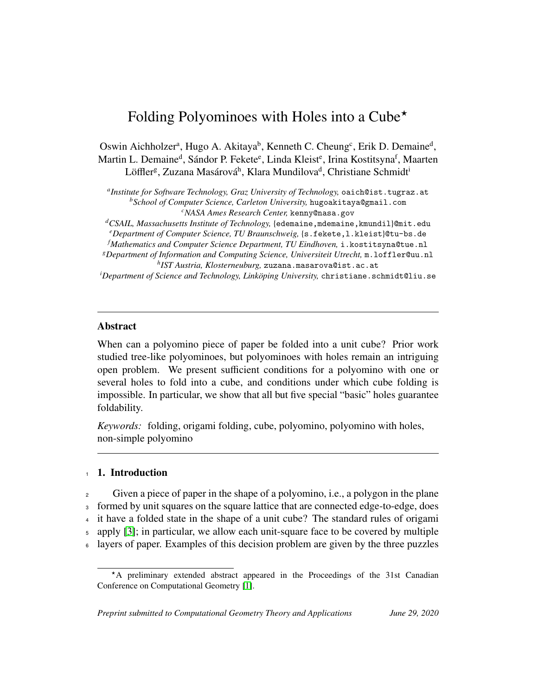# Folding Polyominoes with Holes into a Cube<sup>\*</sup>

Oswin Aichholzer<sup>a</sup>, Hugo A. Akitaya<sup>b</sup>, Kenneth C. Cheung<sup>c</sup>, Erik D. Demaine<sup>d</sup>, Martin L. Demaine<sup>d</sup>, Sándor P. Fekete<sup>e</sup>, Linda Kleist<sup>e</sup>, Irina Kostitsyna<sup>f</sup>, Maarten Löffler<sup>g</sup>, Zuzana Masárová<sup>h</sup>, Klara Mundilova<sup>d</sup>, Christiane Schmidt<sup>i</sup>

*a Institute for Software Technology, Graz University of Technology,* oaich@ist.tugraz.at *<sup>b</sup>School of Computer Science, Carleton University,* hugoakitaya@gmail.com *<sup>c</sup>NASA Ames Research Center,* kenny@nasa.gov

*<sup>d</sup>CSAIL, Massachusetts Institute of Technology,* {edemaine,mdemaine,kmundil}@mit.edu *<sup>e</sup>Department of Computer Science, TU Braunschweig,* {s.fekete,l.kleist}@tu-bs.de

*<sup>f</sup>Mathematics and Computer Science Department, TU Eindhoven,* i.kostitsyna@tue.nl *<sup>g</sup>Department of Information and Computing Science, Universiteit Utrecht,* m.loffler@uu.nl

*h IST Austria, Klosterneuburg,* zuzana.masarova@ist.ac.at

*iDepartment of Science and Technology, Linköping University, christiane.schmidt@liu.se* 

### Abstract

When can a polyomino piece of paper be folded into a unit cube? Prior work studied tree-like polyominoes, but polyominoes with holes remain an intriguing open problem. We present sufficient conditions for a polyomino with one or several holes to fold into a cube, and conditions under which cube folding is impossible. In particular, we show that all but five special "basic" holes guarantee foldability.

*Keywords:* folding, origami folding, cube, polyomino, polyomino with holes, non-simple polyomino

## <sup>1</sup> 1. Introduction

 Given a piece of paper in the shape of a polyomino, i.e., a polygon in the plane formed by unit squares on the square lattice that are connected edge-to-edge, does it have a folded state in the shape of a unit cube? The standard rules of origami apply [\[3\]](#page-24-0); in particular, we allow each unit-square face to be covered by multiple layers of paper. Examples of this decision problem are given by the three puzzles

<sup>?</sup>A preliminary extended abstract appeared in the Proceedings of the 31st Canadian Conference on Computational Geometry [\[1\]](#page-24-1).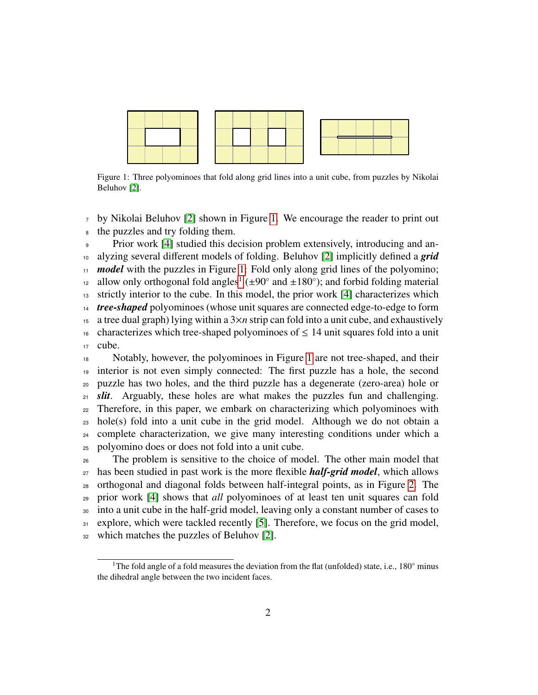<span id="page-1-0"></span>

Figure 1: Three polyominoes that fold along grid lines into a unit cube, from puzzles by Nikolai Beluhov [\[2\]](#page-24-2).

 by Nikolai Beluhov [\[2\]](#page-24-2) shown in Figure [1.](#page-1-0) We encourage the reader to print out <sup>8</sup> the puzzles and try folding them.

 Prior work [\[4\]](#page-24-3) studied this decision problem extensively, introducing and an- alyzing several different models of folding. Beluhov [\[2\]](#page-24-2) implicitly defined a *grid* <sup>11</sup> *model* with the puzzles in Figure [1:](#page-1-0) Fold only along grid lines of the polyomino; <sup>[1](#page-1-1)2</sup> allow only orthogonal fold angles<sup>1</sup> ( $\pm 90^\circ$  and  $\pm 180^\circ$ ); and forbid folding material strictly interior to the cube. In this model, the prior work [\[4\]](#page-24-3) characterizes which <sup>14</sup> *tree-shaped* polyominoes (whose unit squares are connected edge-to-edge to form a tree dual graph) lying within a  $3\times n$  strip can fold into a unit cube, and exhaustively characterizes which tree-shaped polyominoes of  $\leq 14$  unit squares fold into a unit cube.

 Notably, however, the polyominoes in Figure [1](#page-1-0) are not tree-shaped, and their interior is not even simply connected: The first puzzle has a hole, the second puzzle has two holes, and the third puzzle has a degenerate (zero-area) hole or <sup>21</sup> *slit*. Arguably, these holes are what makes the puzzles fun and challenging. Therefore, in this paper, we embark on characterizing which polyominoes with hole(s) fold into a unit cube in the grid model. Although we do not obtain a complete characterization, we give many interesting conditions under which a polyomino does or does not fold into a unit cube.

 The problem is sensitive to the choice of model. The other main model that has been studied in past work is the more flexible *half-grid model*, which allows orthogonal and diagonal folds between half-integral points, as in Figure [2.](#page-2-0) The prior work [\[4\]](#page-24-3) shows that *all* polyominoes of at least ten unit squares can fold into a unit cube in the half-grid model, leaving only a constant number of cases to 31 explore, which were tackled recently [\[5\]](#page-24-4). Therefore, we focus on the grid model, which matches the puzzles of Beluhov [\[2\]](#page-24-2).

<span id="page-1-1"></span><sup>&</sup>lt;sup>1</sup>The fold angle of a fold measures the deviation from the flat (unfolded) state, i.e., 180 $\degree$  minus the dihedral angle between the two incident faces.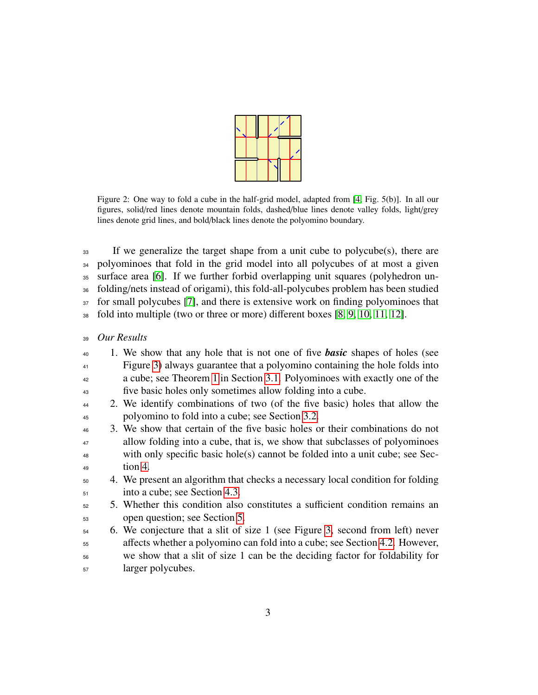<span id="page-2-0"></span>Figure 2: One way to fold a cube in the half-grid model, adapted from [\[4,](#page-24-3) Fig. 5(b)]. In all our figures, solid/red lines denote mountain folds, dashed/blue lines denote valley folds, light/grey lines denote grid lines, and bold/black lines denote the polyomino boundary.

 If we generalize the target shape from a unit cube to polycube(s), there are polyominoes that fold in the grid model into all polycubes of at most a given surface area [\[6\]](#page-24-5). If we further forbid overlapping unit squares (polyhedron un- folding/nets instead of origami), this fold-all-polycubes problem has been studied <sup>37</sup> for small polycubes [\[7\]](#page-24-6), and there is extensive work on finding polyominoes that fold into multiple (two or three or more) different boxes [\[8,](#page-24-7) [9,](#page-24-8) [10,](#page-25-0) [11,](#page-25-1) [12\]](#page-25-2).

## *Our Results*

| 40 | 1. We show that any hole that is not one of five <b>basic</b> shapes of holes (see |
|----|------------------------------------------------------------------------------------|
| 41 | Figure 3) always guarantee that a polyomino containing the hole folds into         |
| 42 | a cube; see Theorem 1 in Section 3.1. Polyominoes with exactly one of the          |
| 43 | five basic holes only sometimes allow folding into a cube.                         |
| 44 | 2. We identify combinations of two (of the five basic) holes that allow the        |
| 45 | polyomino to fold into a cube; see Section 3.2.                                    |
| 46 | 3. We show that certain of the five basic holes or their combinations do not       |
| 47 | allow folding into a cube, that is, we show that subclasses of polyominoes         |
| 48 | with only specific basic hole(s) cannot be folded into a unit cube; see Sec-       |
| 49 | tion 4.                                                                            |
| 50 | 4. We present an algorithm that checks a necessary local condition for folding     |
| 51 | into a cube; see Section 4.3.                                                      |
| 52 | 5. Whether this condition also constitutes a sufficient condition remains an       |
| 53 | open question; see Section 5.                                                      |
| 54 | 6. We conjecture that a slit of size 1 (see Figure 3, second from left) never      |
| 55 | affects whether a polyomino can fold into a cube; see Section 4.2. However,        |
| 56 | we show that a slit of size 1 can be the deciding factor for foldability for       |
| 57 | larger polycubes.                                                                  |
|    |                                                                                    |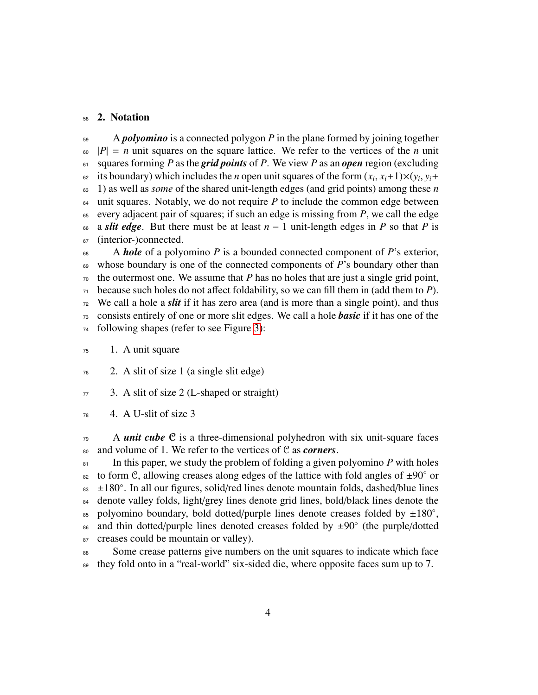### 2. Notation

59 A *polyomino* is a connected polygon P in the plane formed by joining together  $\epsilon_0$  |P| = *n* unit squares on the square lattice. We refer to the vertices of the *n* unit squares forming *P* as the *grid points* of *P*. We view *P* as an *open* region (excluding its boundary) which includes the *n* open unit squares of the form  $(x_i, x_i+1) \times (y_i, y_i+1)$ <br>(2) as well as some of the shared unit-length edges (and grid points) among these *n*  1) as well as *some* of the shared unit-length edges (and grid points) among these *n* unit squares. Notably, we do not require *P* to include the common edge between every adjacent pair of squares; if such an edge is missing from *P*, we call the edge a *slit edge*. But there must be at least *n* − 1 unit-length edges in *P* so that *P* is (interior-)connected.

 A *hole* of a polyomino *P* is a bounded connected component of *P*'s exterior, whose boundary is one of the connected components of *P*'s boundary other than  $\tau_0$  the outermost one. We assume that *P* has no holes that are just a single grid point, because such holes do not affect foldability, so we can fill them in (add them to *P*). We call a hole a *slit* if it has zero area (and is more than a single point), and thus consists entirely of one or more slit edges. We call a hole *basic* if it has one of the following shapes (refer to see Figure [3\)](#page-4-0):

- 1. A unit square
- 2. A slit of size 1 (a single slit edge)
- 3. A slit of size 2 (L-shaped or straight)
- 4. A U-slit of size 3

 A *unit cube* C is a three-dimensional polyhedron with six unit-square faces and volume of 1. We refer to the vertices of C as *corners*.

 In this paper, we study the problem of folding a given polyomino *P* with holes  $\epsilon$  to form C, allowing creases along edges of the lattice with fold angles of  $\pm 90^\circ$  or 83 ±180°. In all our figures, solid/red lines denote mountain folds, dashed/blue lines <sup>84</sup> denote valley folds, light/grey lines denote grid lines, bold/black lines denote the  $_{85}$  polyomino boundary, bold dotted/purple lines denote creases folded by  $\pm 180^{\circ}$ , <sup>86</sup> and thin dotted/purple lines denoted creases folded by ±90<sup>°</sup> (the purple/dotted 87 creases could be mountain or valley).

 Some crease patterns give numbers on the unit squares to indicate which face 89 they fold onto in a "real-world" six-sided die, where opposite faces sum up to 7.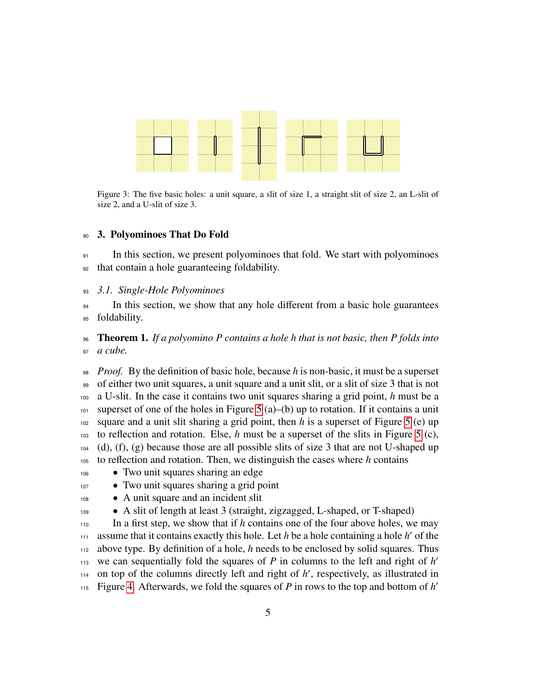<span id="page-4-0"></span>

Figure 3: The five basic holes: a unit square, a slit of size 1, a straight slit of size 2, an L-slit of size 2, and a U-slit of size 3.

#### 3. Polyominoes That Do Fold

 In this section, we present polyominoes that fold. We start with polyominoes that contain a hole guaranteeing foldability.

<span id="page-4-2"></span>*3.1. Single-Hole Polyominoes*

 In this section, we show that any hole different from a basic hole guarantees foldability.

<span id="page-4-1"></span> Theorem 1. *If a polyomino P contains a hole h that is not basic, then P folds into a cube.*

 *Proof.* By the definition of basic hole, because *h* is non-basic, it must be a superset of either two unit squares, a unit square and a unit slit, or a slit of size 3 that is not a U-slit. In the case it contains two unit squares sharing a grid point, *h* must be a 101 superset of one of the holes in Figure [5](#page-5-0) (a)–(b) up to rotation. If it contains a unit <sup>102</sup> square and a unit slit sharing a grid point, then h is a superset of Figure [5](#page-5-0) (e) up to reflection and rotation. Else, *h* must be a superset of the slits in Figure [5](#page-5-0) (c), (d), (f), (g) because those are all possible slits of size 3 that are not U-shaped up to reflection and rotation. Then, we distinguish the cases where *h* contains

- Two unit squares sharing an edge
- Two unit squares sharing a grid point
- A unit square and an incident slit
- A slit of length at least 3 (straight, zigzagged, L-shaped, or T-shaped)

 In a first step, we show that if *h* contains one of the four above holes, we may assume that it contains exactly this hole. Let  $h$  be a hole containing a hole  $h'$  of the above type. By definition of a hole, *h* needs to be enclosed by solid squares. Thus we can sequentially fold the squares of *P* in columns to the left and right of *h* 0 114 on top of the columns directly left and right of *h'*, respectively, as illustrated in Figure [4.](#page-5-1) Afterwards, we fold the squares of *P* in rows to the top and bottom of *h* 0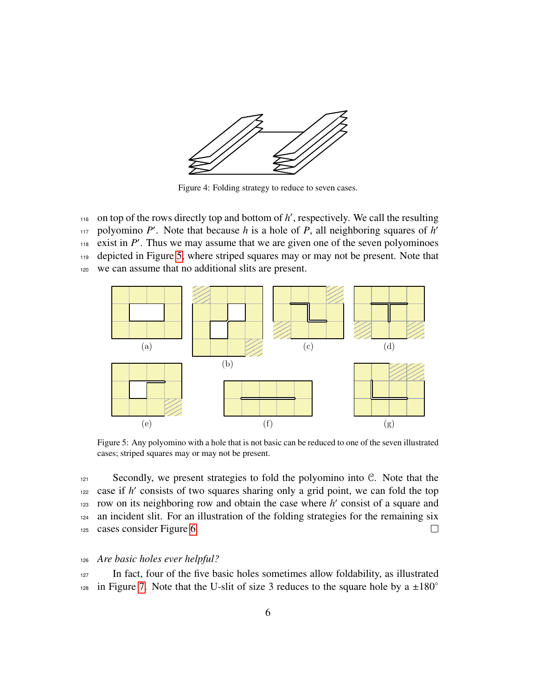<span id="page-5-1"></span>

Figure 4: Folding strategy to reduce to seven cases.

 on top of the rows directly top and bottom of  $h'$ , respectively. We call the resulting polyomino  $P'$ . Note that because  $h$  is a hole of  $P$ , all neighboring squares of  $h'$ 117 exist in  $P'$ . Thus we may assume that we are given one of the seven polyominoes depicted in Figure [5,](#page-5-0) where striped squares may or may not be present. Note that we can assume that no additional slits are present.

<span id="page-5-0"></span>

Figure 5: Any polyomino with a hole that is not basic can be reduced to one of the seven illustrated cases; striped squares may or may not be present.

 $121$  Secondly, we present strategies to fold the polyomino into C. Note that the 122 case if *h'* consists of two squares sharing only a grid point, we can fold the top rea row on its neighboring row and obtain the case where *h'* consist of a square and <sup>124</sup> an incident slit. For an illustration of the folding strategies for the remaining six <sup>125</sup> cases consider Figure [6.](#page-6-0)  $\Box$ 

#### <sup>126</sup> *Are basic holes ever helpful?*

<sup>127</sup> In fact, four of the five basic holes sometimes allow foldability, as illustrated in Figure [7.](#page-6-1) Note that the U-slit of size 3 reduces to the square hole by a  $\pm 180^\circ$ 128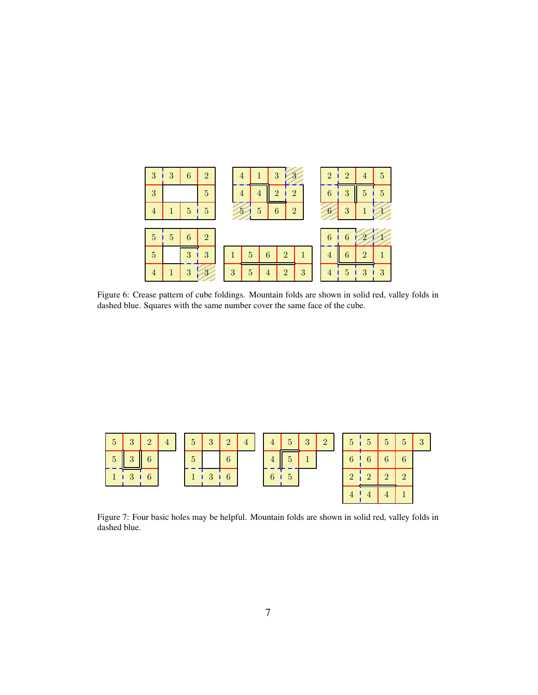<span id="page-6-0"></span>

| 3              | 3 | 6 | $\overline{2}$ | 4 |   |   | 3              |                             | $\overline{2}$ | $\overline{2}$ | 4              | 5 |
|----------------|---|---|----------------|---|---|---|----------------|-----------------------------|----------------|----------------|----------------|---|
| 3              |   |   | 5              |   |   |   | $\mathcal{D}$  | $\mathcal{D}_{\mathcal{A}}$ | 6              | 3              | 5              | 5 |
| 4              |   | 5 | 5              |   | 5 |   | 6              | $\overline{2}$              |                | 3              |                |   |
|                |   |   |                |   |   |   |                |                             |                |                |                |   |
|                |   |   |                |   |   |   |                |                             |                |                |                |   |
| 5              | 5 | 6 | $\overline{2}$ |   |   |   |                |                             | 6              |                |                |   |
| $\overline{5}$ |   | 3 | 3              |   | 5 | 6 | $\overline{2}$ |                             | 4              |                | $\mathfrak{D}$ |   |

Figure 6: Crease pattern of cube foldings. Mountain folds are shown in solid red, valley folds in dashed blue. Squares with the same number cover the same face of the cube.

<span id="page-6-1"></span>

| 5 | $\Omega$<br>Ő | $\Omega$ |  | 5 | 3            | $\Omega$<br>$\overline{ }$ | $\overline{4}$ |   | 5 | 3 | $\overline{2}$ | 5i             | $\overline{5}$ | 5          | $\overline{5}$ | $\Omega$<br>Ō |
|---|---------------|----------|--|---|--------------|----------------------------|----------------|---|---|---|----------------|----------------|----------------|------------|----------------|---------------|
| 5 | $\Omega$      |          |  | 5 |              |                            |                |   |   |   |                | 6              | $\mathcal{C}$  | $\epsilon$ | 6              |               |
|   | $\Omega$      | 6        |  |   | $\mathbf{Q}$ | 6                          |                | 6 |   |   |                | $\overline{2}$ | $\Omega$       | $\Omega$   | $\Omega$       |               |
|   |               |          |  |   |              |                            |                |   |   |   |                |                |                |            |                |               |

Figure 7: Four basic holes may be helpful. Mountain folds are shown in solid red, valley folds in dashed blue.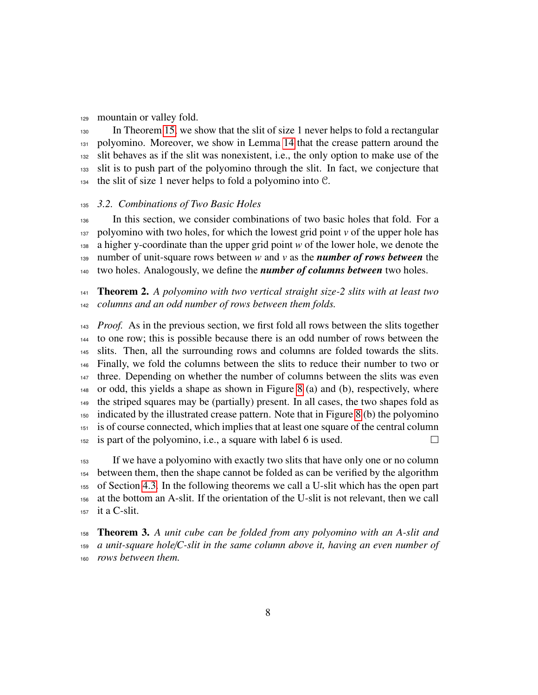mountain or valley fold.

 In Theorem [15,](#page-17-0) we show that the slit of size 1 never helps to fold a rectangular 131 polyomino. Moreover, we show in Lemma [14](#page-16-1) that the crease pattern around the slit behaves as if the slit was nonexistent, i.e., the only option to make use of the slit is to push part of the polyomino through the slit. In fact, we conjecture that the slit of size 1 never helps to fold a polyomino into  $\mathcal{C}$ .

#### <span id="page-7-0"></span>*3.2. Combinations of Two Basic Holes*

 In this section, we consider combinations of two basic holes that fold. For a polyomino with two holes, for which the lowest grid point *v* of the upper hole has a higher y-coordinate than the upper grid point *w* of the lower hole, we denote the number of unit-square rows between *w* and *v* as the *number of rows between* the two holes. Analogously, we define the *number of columns between* two holes.

 Theorem 2. *A polyomino with two vertical straight size-2 slits with at least two columns and an odd number of rows between them folds.*

 *Proof.* As in the previous section, we first fold all rows between the slits together to one row; this is possible because there is an odd number of rows between the slits. Then, all the surrounding rows and columns are folded towards the slits. Finally, we fold the columns between the slits to reduce their number to two or three. Depending on whether the number of columns between the slits was even or odd, this yields a shape as shown in Figure [8](#page-8-0) (a) and (b), respectively, where the striped squares may be (partially) present. In all cases, the two shapes fold as indicated by the illustrated crease pattern. Note that in Figure [8](#page-8-0) (b) the polyomino is of course connected, which implies that at least one square of the central column is part of the polyomino, i.e., a square with label 6 is used.  $\Box$ 

 If we have a polyomino with exactly two slits that have only one or no column between them, then the shape cannot be folded as can be verified by the algorithm of Section [4.3.](#page-20-0) In the following theorems we call a U-slit which has the open part at the bottom an A-slit. If the orientation of the U-slit is not relevant, then we call it a C-slit.

 Theorem 3. *A unit cube can be folded from any polyomino with an A-slit and a unit-square hole*/*C-slit in the same column above it, having an even number of rows between them.*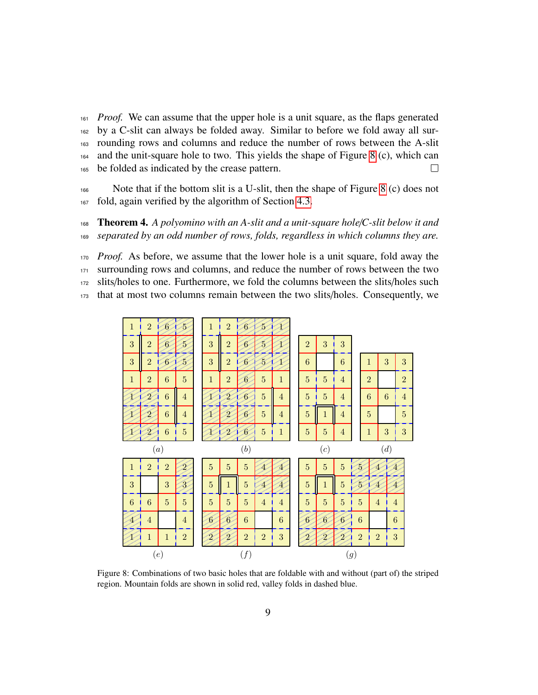*Proof.* We can assume that the upper hole is a unit square, as the flaps generated by a C-slit can always be folded away. Similar to before we fold away all sur- rounding rows and columns and reduce the number of rows between the A-slit and the unit-square hole to two. This yields the shape of Figure [8](#page-8-0) (c), which can be folded as indicated by the crease pattern.  $\Box$ 

 Note that if the bottom slit is a U-slit, then the shape of Figure [8](#page-8-0) (c) does not fold, again verified by the algorithm of Section [4.3.](#page-20-0)

 Theorem 4. *A polyomino with an A-slit and a unit-square hole*/*C-slit below it and separated by an odd number of rows, folds, regardless in which columns they are.*

 *Proof.* As before, we assume that the lower hole is a unit square, fold away the surrounding rows and columns, and reduce the number of rows between the two slits/holes to one. Furthermore, we fold the columns between the slits/holes such

that at most two columns remain between the two slits/holes. Consequently, we

<span id="page-8-0"></span>

Figure 8: Combinations of two basic holes that are foldable with and without (part of) the striped region. Mountain folds are shown in solid red, valley folds in dashed blue.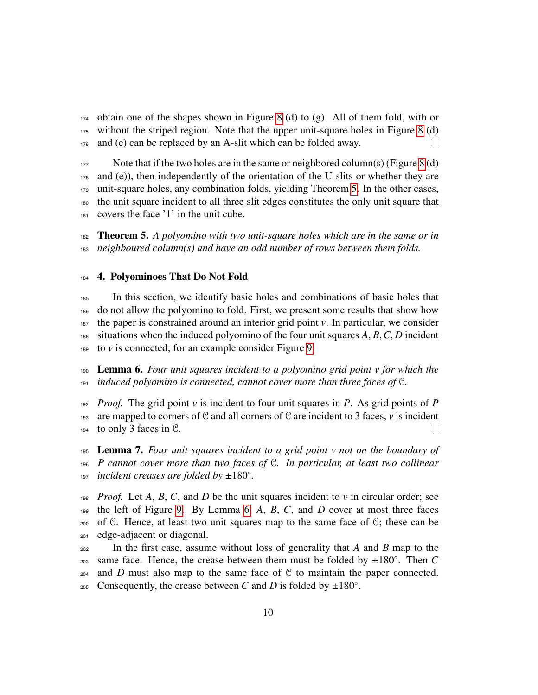obtain one of the shapes shown in Figure [8](#page-8-0) (d) to (g). All of them fold, with or without the striped region. Note that the upper unit-square holes in Figure [8](#page-8-0) (d) and (e) can be replaced by an A-slit which can be folded away.  $\Box$ 

 Note that if the two holes are in the same or neighbored column(s) (Figure [8](#page-8-0) (d) and (e)), then independently of the orientation of the U-slits or whether they are unit-square holes, any combination folds, yielding Theorem [5.](#page-9-1) In the other cases, the unit square incident to all three slit edges constitutes the only unit square that covers the face '1' in the unit cube.

<span id="page-9-1"></span> Theorem 5. *A polyomino with two unit-square holes which are in the same or in neighboured column(s) and have an odd number of rows between them folds.*

#### <span id="page-9-0"></span>4. Polyominoes That Do Not Fold

 In this section, we identify basic holes and combinations of basic holes that do not allow the polyomino to fold. First, we present some results that show how the paper is constrained around an interior grid point  $\nu$ . In particular, we consider <sup>188</sup> situations when the induced polyomino of the four unit squares  $A$ ,  $B$ ,  $C$ ,  $D$  incident to  $\nu$  is connected; for an example consider Figure 9. to  $\nu$  is connected; for an example consider Figure [9.](#page-10-0)

<span id="page-9-2"></span> Lemma 6. *Four unit squares incident to a polyomino grid point v for which the induced polyomino is connected, cannot cover more than three faces of* C*.*

 *Proof.* The grid point *v* is incident to four unit squares in *P*. As grid points of *P* are mapped to corners of C and all corners of C are incident to 3 faces, *v* is incident to only 3 faces in C.  $\Box$ 

<span id="page-9-3"></span> Lemma 7. *Four unit squares incident to a grid point v not on the boundary of P cannot cover more than two faces of* C*. In particular, at least two collinear* 197 *incident creases are folded by*  $\pm 180^\circ$ .

 *Proof.* Let *A*, *B*, *C*, and *D* be the unit squares incident to *v* in circular order; see the left of Figure [9.](#page-10-0) By Lemma [6,](#page-9-2) *A*, *B*, *C*, and *D* cover at most three faces of C. Hence, at least two unit squares map to the same face of C; these can be edge-adjacent or diagonal.

 In the first case, assume without loss of generality that *A* and *B* map to the same face. Hence, the crease between them must be folded by  $\pm 180^\circ$ . Then *C*  $_{204}$  and *D* must also map to the same face of C to maintain the paper connected. 205 Consequently, the crease between *C* and *D* is folded by  $\pm 180^\circ$ .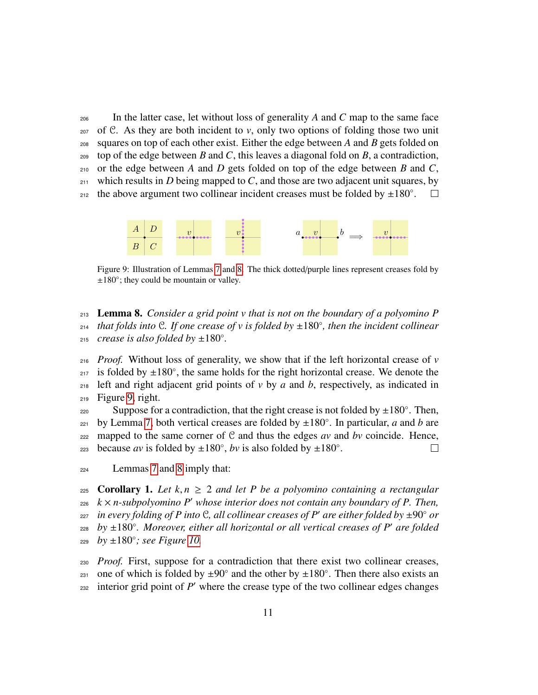<sup>206</sup> In the latter case, let without loss of generality *A* and *C* map to the same face  $207$  of C. As they are both incident to *v*, only two options of folding those two unit <sup>208</sup> squares on top of each other exist. Either the edge between *A* and *B* gets folded on  $_{209}$  top of the edge between *B* and *C*, this leaves a diagonal fold on *B*, a contradiction, <sup>210</sup> or the edge between *A* and *D* gets folded on top of the edge between *B* and *C*,  $_{211}$  which results in *D* being mapped to *C*, and those are two adjacent unit squares, by the above argument two collinear incident creases must be folded by  $\pm 180^\circ$ .  $\Box$ 

<span id="page-10-0"></span>

Figure 9: Illustration of Lemmas [7](#page-9-3) and [8.](#page-10-1) The thick dotted/purple lines represent creases fold by ±180◦ ; they could be mountain or valley.

<span id="page-10-1"></span><sup>213</sup> Lemma 8. *Consider a grid point v that is not on the boundary of a polyomino P that folds into* C*. If one crease of v is folded by* ±180◦ <sup>214</sup> *, then the incident collinear* 215 *crease is also folded by*  $\pm 180^\circ$ .

 *Proof.* Without loss of generality, we show that if the left horizontal crease of *v*  $_{217}$  is folded by  $\pm 180^\circ$ , the same holds for the right horizontal crease. We denote the left and right adjacent grid points of *v* by *a* and *b*, respectively, as indicated in Figure [9,](#page-10-0) right.

show Suppose for a contradiction, that the right crease is not folded by  $\pm 180^\circ$ . Then, by Lemma [7,](#page-9-3) both vertical creases are folded by  $\pm 180^\circ$ . In particular, *a* and *b* are as mapped to the same corner of  $C$  and thus the edges *av* and *bv* coincide. Hence, because *av* is folded by  $\pm 180^\circ$ , *bv* is also folded by  $\pm 180^\circ$ .  $\Box$ 

<span id="page-10-2"></span><sup>224</sup> Lemmas [7](#page-9-3) and [8](#page-10-1) imply that:

225 **Corollary 1.** *Let*  $k, n \geq 2$  *and let P be a polyomino containing a rectangular*  $k \times n$ -subpolyomino *P'* whose interior does not contain any boundary of *P*. Then,  $k \times n$ -subpolyomino P' whose interior does not contain any boundary of P. Then, <sup>227</sup> *in every folding of P into* C, all collinear creases of P' are either folded by ±90° or 228 *by* ±180°. Moreover, either all horizontal or all vertical creases of P' are folded *by* ±180°*; see Figure [10.](#page-11-0)* 

<sup>230</sup> *Proof.* First, suppose for a contradiction that there exist two collinear creases, 231 one of which is folded by  $\pm 90^\circ$  and the other by  $\pm 180^\circ$ . Then there also exists an  $232$  interior grid point of  $P'$  where the crease type of the two collinear edges changes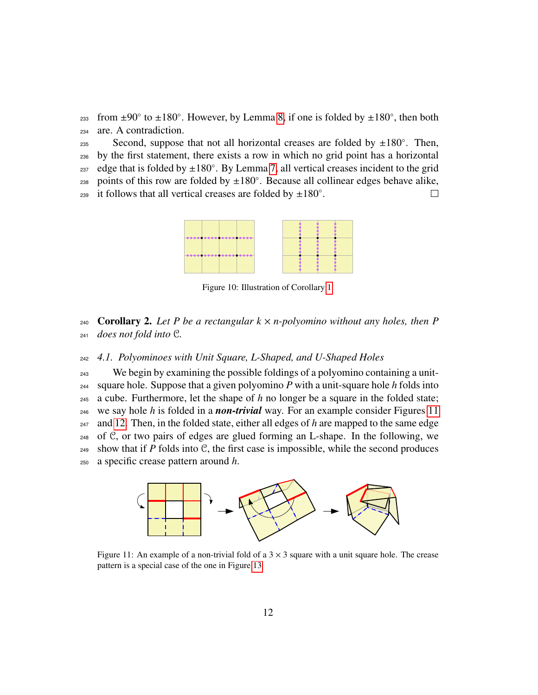$233$  from  $\pm 90^\circ$  to  $\pm 180^\circ$ . However, by Lemma [8,](#page-10-1) if one is folded by  $\pm 180^\circ$ , then both <sup>234</sup> are. A contradiction.

Second, suppose that not all horizontal creases are folded by  $\pm 180^\circ$ . Then, <sup>236</sup> by the first statement, there exists a row in which no grid point has a horizontal edge that is folded by  $\pm 180^\circ$ . By Lemma [7,](#page-9-3) all vertical creases incident to the grid  $_{238}$  points of this row are folded by  $\pm 180^\circ$ . Because all collinear edges behave alike, 239 it follows that all vertical creases are folded by  $\pm 180^\circ$ .  $\Box$ 

<span id="page-11-0"></span>

Figure 10: Illustration of Corollary [1.](#page-10-2)

<span id="page-11-3"></span>240 **Corollary 2.** Let P be a rectangular  $k \times n$ -polyomino without any holes, then P <sup>241</sup> *does not fold into* C*.*

## <sup>242</sup> *4.1. Polyominoes with Unit Square, L-Shaped, and U-Shaped Holes*

<sup>243</sup> We begin by examining the possible foldings of a polyomino containing a unit- square hole. Suppose that a given polyomino *P* with a unit-square hole *h* folds into 245 a cube. Furthermore, let the shape of  $h$  no longer be a square in the folded state; we say hole *h* is folded in a *non-trivial* way. For an example consider Figures [11](#page-11-1) and [12.](#page-12-0) Then, in the folded state, either all edges of *h* are mapped to the same edge of C, or two pairs of edges are glued forming an L-shape. In the following, we show that if *P* folds into C, the first case is impossible, while the second produces a specific crease pattern around *h*.

<span id="page-11-1"></span>

<span id="page-11-2"></span>Figure 11: An example of a non-trivial fold of a  $3 \times 3$  square with a unit square hole. The crease pattern is a special case of the one in Figure [13.](#page-13-0)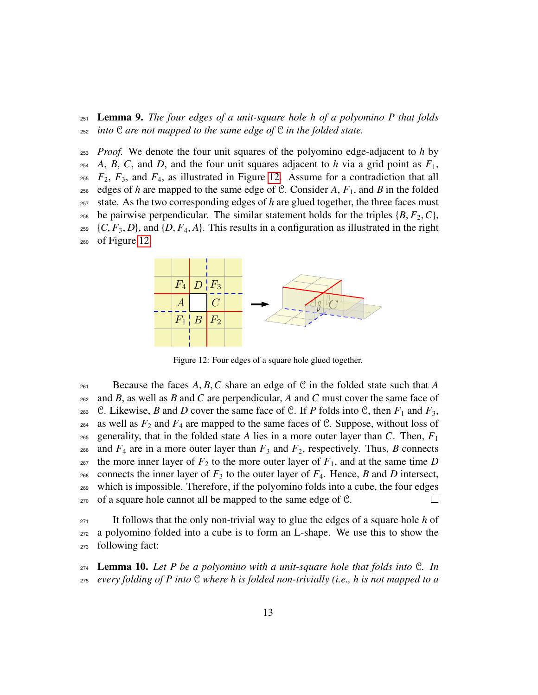<sup>251</sup> Lemma 9. *The four edges of a unit-square hole h of a polyomino P that folds* <sup>252</sup> *into* C *are not mapped to the same edge of* C *in the folded state.*

<sup>253</sup> *Proof.* We denote the four unit squares of the polyomino edge-adjacent to *h* by  $254$  *A*, *B*, *C*, and *D*, and the four unit squares adjacent to *h* via a grid point as  $F_1$ , <sup>255</sup> *F*2, *F*3, and *F*4, as illustrated in Figure [12.](#page-12-0) Assume for a contradiction that all <sup>256</sup> edges of *h* are mapped to the same edge of C. Consider *A*,  $F_1$ , and *B* in the folded <sup>257</sup> state. As the two corresponding edges of *h* are glued together, the three faces must 258 be pairwise perpendicular. The similar statement holds for the triples  $\{B, F_2, C\}$ ,  $\{C, F_3, D\}$ , and  $\{D, F_4, A\}$ . This results in a configuration as illustrated in the right <sup>259</sup> {*C*, *F*<sub>3</sub>, *D*}, and {*D*, *F*<sub>4</sub>, *A*}. This results in a configuration as illustrated in the right of Figure 12. of Figure [12.](#page-12-0)

<span id="page-12-0"></span>

Figure 12: Four edges of a square hole glued together.

261 Because the faces *A*, *B*, *C* share an edge of C in the folded state such that *A*  $\geq$  282 and *B*, as well as *B* and *C* are perpendicular. *A* and *C* must cover the same face of and *B*, as well as *B* and *C* are perpendicular, *A* and *C* must cover the same face of 263 C. Likewise, *B* and *D* cover the same face of C. If *P* folds into C, then  $F_1$  and  $F_3$ , 264 as well as  $F_2$  and  $F_4$  are mapped to the same faces of C. Suppose, without loss of 265 generality, that in the folded state A lies in a more outer layer than C. Then,  $F_1$ <sup>266</sup> and  $F_4$  are in a more outer layer than  $F_3$  and  $F_2$ , respectively. Thus, *B* connects <sup>267</sup> the more inner layer of  $F_2$  to the more outer layer of  $F_1$ , and at the same time *D* 268 connects the inner layer of  $F_3$  to the outer layer of  $F_4$ . Hence, *B* and *D* intersect, <sup>269</sup> which is impossible. Therefore, if the polyomino folds into a cube, the four edges <sup>270</sup> of a square hole cannot all be mapped to the same edge of C.  $\Box$ 

 $271$  It follows that the only non-trivial way to glue the edges of a square hole *h* of <sup>272</sup> a polyomino folded into a cube is to form an L-shape. We use this to show the <sup>273</sup> following fact:

<span id="page-12-1"></span><sup>274</sup> Lemma 10. *Let P be a polyomino with a unit-square hole that folds into* C*. In* <sup>275</sup> *every folding of P into* C *where h is folded non-trivially (i.e., h is not mapped to a*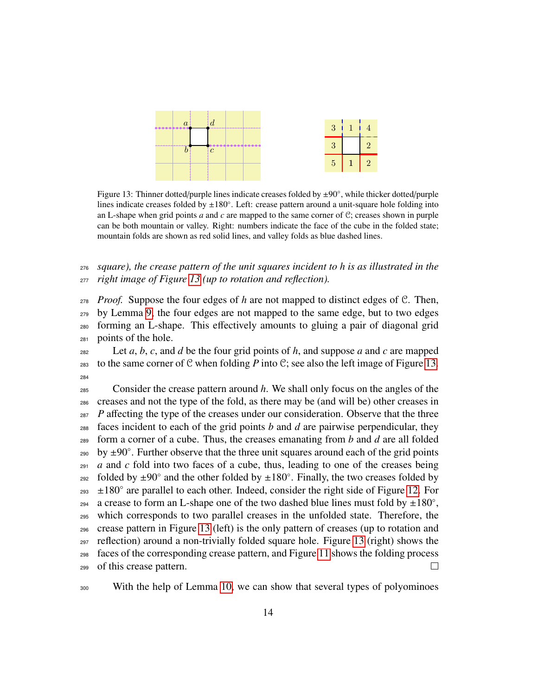<span id="page-13-0"></span>

| $\overline{a}$ |                |  | 3 <sup>1</sup> | $\vert 1 \vert$ |               |
|----------------|----------------|--|----------------|-----------------|---------------|
|                | $\overline{c}$ |  |                |                 |               |
|                |                |  | 5 <sup>5</sup> |                 | $\mathcal{D}$ |

Figure 13: Thinner dotted/purple lines indicate creases folded by ±90◦ , while thicker dotted/purple lines indicate creases folded by ±180°. Left: crease pattern around a unit-square hole folding into an L-shape when grid points *a* and *c* are mapped to the same corner of C; creases shown in purple can be both mountain or valley. Right: numbers indicate the face of the cube in the folded state; mountain folds are shown as red solid lines, and valley folds as blue dashed lines.

 *square), the crease pattern of the unit squares incident to h is as illustrated in the right image of Figure [13](#page-13-0) (up to rotation and reflection).*

 *Proof.* Suppose the four edges of *h* are not mapped to distinct edges of C. Then, by Lemma [9,](#page-11-2) the four edges are not mapped to the same edge, but to two edges forming an L-shape. This effectively amounts to gluing a pair of diagonal grid points of the hole.

282 Let *a*, *b*, *c*, and *d* be the four grid points of *h*, and suppose *a* and *c* are mapped 283 to the same corner of C when folding P into C; see also the left image of Figure [13.](#page-13-0) 

 Consider the crease pattern around *h*. We shall only focus on the angles of the creases and not the type of the fold, as there may be (and will be) other creases in <sup>287</sup> *P* affecting the type of the creases under our consideration. Observe that the three faces incident to each of the grid points *b* and *d* are pairwise perpendicular, they form a corner of a cube. Thus, the creases emanating from *b* and *d* are all folded by  $\pm 90^\circ$ . Further observe that the three unit squares around each of the grid points *a* and *c* fold into two faces of a cube, thus, leading to one of the creases being  $_{292}$  folded by  $\pm 90^\circ$  and the other folded by  $\pm 180^\circ$ . Finally, the two creases folded by  $_{293}$   $\pm$ 180 $^{\circ}$  are parallel to each other. Indeed, consider the right side of Figure [12.](#page-12-0) For 294 a crease to form an L-shape one of the two dashed blue lines must fold by  $\pm 180^\circ$ , which corresponds to two parallel creases in the unfolded state. Therefore, the crease pattern in Figure [13](#page-13-0) (left) is the only pattern of creases (up to rotation and reflection) around a non-trivially folded square hole. Figure [13](#page-13-0) (right) shows the faces of the corresponding crease pattern, and Figure [11](#page-11-1) shows the folding process of this crease pattern.  $\Box$ 

With the help of Lemma [10,](#page-12-1) we can show that several types of polyominoes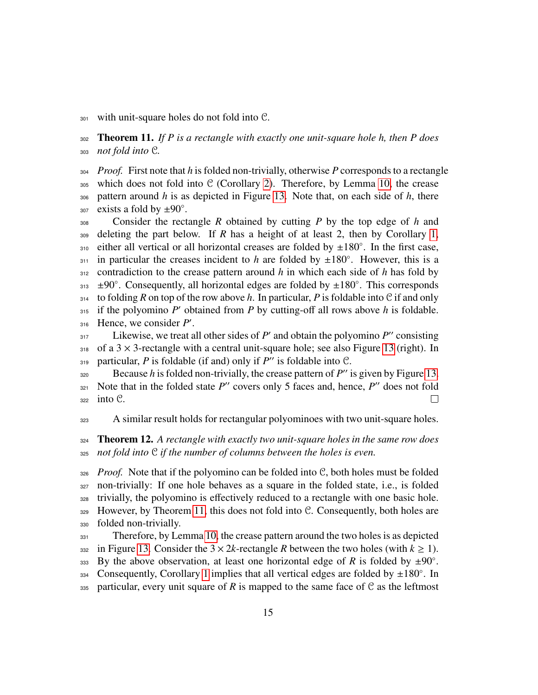<span id="page-14-0"></span> $301$  with unit-square holes do not fold into  $\mathcal{C}$ .

<sup>302</sup> Theorem 11. *If P is a rectangle with exactly one unit-square hole h, then P does* <sup>303</sup> *not fold into* C*.*

 *Proof.* First note that *h* is folded non-trivially, otherwise *P* corresponds to a rectangle which does not fold into C (Corollary [2\)](#page-11-3). Therefore, by Lemma [10,](#page-12-1) the crease pattern around *h* is as depicted in Figure [13.](#page-13-0) Note that, on each side of *h*, there  $200^{\circ}$  exists a fold by  $\pm 90^{\circ}$ .

 Consider the rectangle *R* obtained by cutting *P* by the top edge of *h* and deleting the part below. If *R* has a height of at least 2, then by Corollary [1,](#page-10-2) 310 either all vertical or all horizontal creases are folded by  $\pm 180^\circ$ . In the first case,  $_{311}$  in particular the creases incident to *h* are folded by  $\pm 180^\circ$ . However, this is a contradiction to the crease pattern around *h* in which each side of *h* has fold by  $\pm 90^\circ$ . Consequently, all horizontal edges are folded by  $\pm 180^\circ$ . This corresponds to folding *R* on top of the row above *h*. In particular, *P* is foldable into C if and only if the polyomino  $P'$  obtained from  $P$  by cutting-off all rows above  $h$  is foldable. Hence, we consider  $P'$ .

Likewise, we treat all other sides of  $P'$  and obtain the polyomino  $P''$  consisting 318 of a  $3 \times 3$ -rectangle with a central unit-square hole; see also Figure [13](#page-13-0) (right). In 319 particular,  $P$  is foldable (if and) only if  $P''$  is foldable into  $C$ .

Because  $h$  is folded non-trivially, the crease pattern of  $P''$  is given by Figure [13.](#page-13-0) Note that in the folded state  $P''$  covers only 5 faces and, hence,  $P''$  does not fold  $322$  into  $\mathcal{C}$ .  $\Box$ 

<span id="page-14-1"></span><sup>323</sup> A similar result holds for rectangular polyominoes with two unit-square holes.

<sup>324</sup> Theorem 12. *A rectangle with exactly two unit-square holes in the same row does* <sup>325</sup> *not fold into* C *if the number of columns between the holes is even.*

 *Proof.* Note that if the polyomino can be folded into C, both holes must be folded non-trivially: If one hole behaves as a square in the folded state, i.e., is folded trivially, the polyomino is effectively reduced to a rectangle with one basic hole. However, by Theorem [11,](#page-14-0) this does not fold into C. Consequently, both holes are folded non-trivially.

<sup>331</sup> Therefore, by Lemma [10,](#page-12-1) the crease pattern around the two holes is as depicted 332 in Figure [13.](#page-13-0) Consider the  $3 \times 2k$ -rectangle *R* between the two holes (with  $k \ge 1$ ). By the above observation, at least one horizontal edge of *R* is folded by  $\pm 90^\circ$ . 334 Consequently, Corollary [1](#page-10-2) implies that all vertical edges are folded by  $\pm 180^\circ$ . In 335 particular, every unit square of R is mapped to the same face of  $\mathcal C$  as the leftmost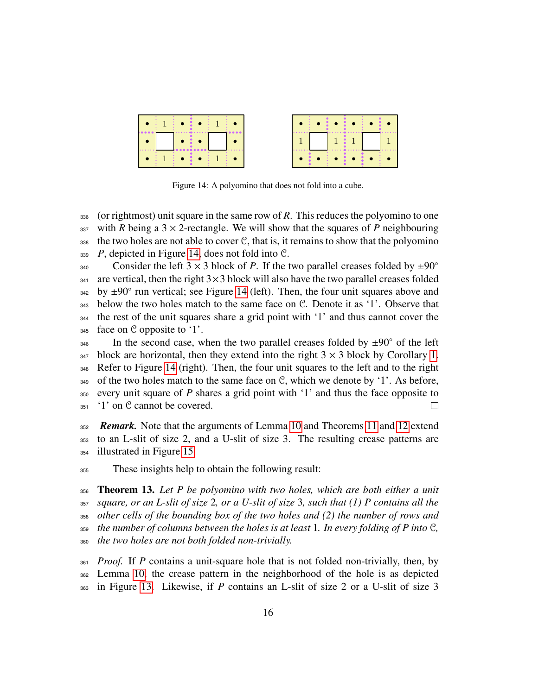<span id="page-15-0"></span>

Figure 14: A polyomino that does not fold into a cube.

 (or rightmost) unit square in the same row of *R*. This reduces the polyomino to one with *R* being a 3  $\times$  2-rectangle. We will show that the squares of *P* neighbouring the two holes are not able to cover C, that is, it remains to show that the polyomino  $\alpha$ <sub>339</sub> *P*, depicted in Figure [14,](#page-15-0) does not fold into C.

Consider the left  $3 \times 3$  block of *P*. If the two parallel creases folded by  $\pm 90^\circ$  are vertical, then the right  $3\times3$  block will also have the two parallel creases folded  $_{342}$  by  $\pm 90^\circ$  run vertical; see Figure [14](#page-15-0) (left). Then, the four unit squares above and below the two holes match to the same face on C. Denote it as '1'. Observe that the rest of the unit squares share a grid point with '1' and thus cannot cover the face on C opposite to '1'.

346 In the second case, when the two parallel creases folded by  $\pm 90^\circ$  of the left block are horizontal, then they extend into the right  $3 \times 3$  block by Corollary [1.](#page-10-2) Refer to Figure [14](#page-15-0) (right). Then, the four unit squares to the left and to the right 349 of the two holes match to the same face on C, which we denote by '1'. As before, every unit square of *P* shares a grid point with '1' and thus the face opposite to '1' on C cannot be covered.  $\Box$ 

<sup>352</sup> **Remark.** Note that the arguments of Lemma [10](#page-12-1) and Theorems [11](#page-14-0) and [12](#page-14-1) extend to an L-slit of size 2, and a U-slit of size 3. The resulting crease patterns are illustrated in Figure [15.](#page-16-2)

These insights help to obtain the following result:

 Theorem 13. *Let P be polyomino with two holes, which are both either a unit square, or an L-slit of size* 2*, or a U-slit of size* 3*, such that (1) P contains all the other cells of the bounding box of the two holes and (2) the number of rows and the number of columns between the holes is at least* 1*. In every folding of P into* C*, the two holes are not both folded non-trivially.*

 *Proof.* If *P* contains a unit-square hole that is not folded non-trivially, then, by Lemma [10,](#page-12-1) the crease pattern in the neighborhood of the hole is as depicted in Figure [13.](#page-13-0) Likewise, if *P* contains an L-slit of size 2 or a U-slit of size 3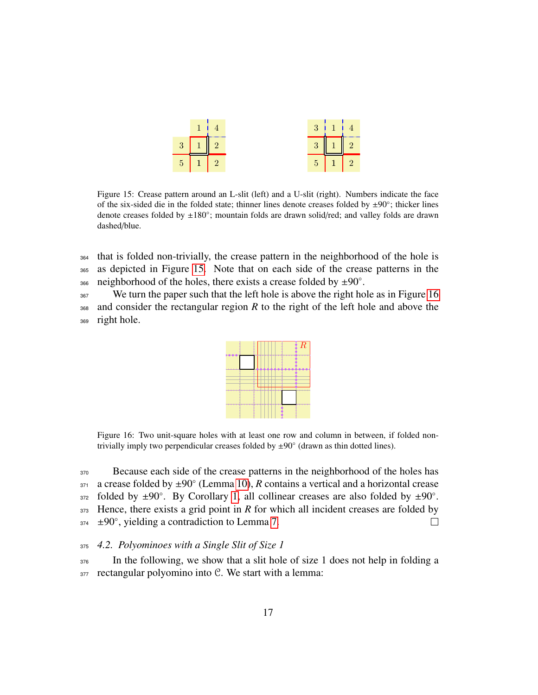<span id="page-16-2"></span>

|                | $\mathbf{1}$      |  |                | $3 \mid 1 \mid$           | $\overline{4}$ |
|----------------|-------------------|--|----------------|---------------------------|----------------|
|                | $3 \mid 1 \mid 2$ |  | 3 <sup>1</sup> | $\parallel 1 \parallel 2$ |                |
| 5 <sup>5</sup> |                   |  | 5 <sub>5</sub> | $\vert 1 \vert$           | $\overline{2}$ |

Figure 15: Crease pattern around an L-slit (left) and a U-slit (right). Numbers indicate the face of the six-sided die in the folded state; thinner lines denote creases folded by ±90°; thicker lines denote creases folded by ±180°; mountain folds are drawn solid/red; and valley folds are drawn dashed/blue.

 that is folded non-trivially, the crease pattern in the neighborhood of the hole is as depicted in Figure [15.](#page-16-2) Note that on each side of the crease patterns in the 366 neighborhood of the holes, there exists a crease folded by  $\pm 90^\circ$ .

<span id="page-16-3"></span> We turn the paper such that the left hole is above the right hole as in Figure [16](#page-16-3) and consider the rectangular region *R* to the right of the left hole and above the right hole.



Figure 16: Two unit-square holes with at least one row and column in between, if folded nontrivially imply two perpendicular creases folded by  $\pm 90^\circ$  (drawn as thin dotted lines).

 Because each side of the crease patterns in the neighborhood of the holes has a crease folded by  $\pm 90^\circ$  (Lemma [10\)](#page-12-1), *R* contains a vertical and a horizontal crease 372 folded by  $\pm 90^\circ$ . By Corollary [1,](#page-10-2) all collinear creases are also folded by  $\pm 90^\circ$ . Hence, there exists a grid point in *R* for which all incident creases are folded by  $\pm 90^\circ$ , yielding a contradiction to Lemma [7.](#page-9-3)  $\Box$ 

## <span id="page-16-0"></span>*4.2. Polyominoes with a Single Slit of Size 1*

<span id="page-16-1"></span> In the following, we show that a slit hole of size 1 does not help in folding a rectangular polyomino into C. We start with a lemma: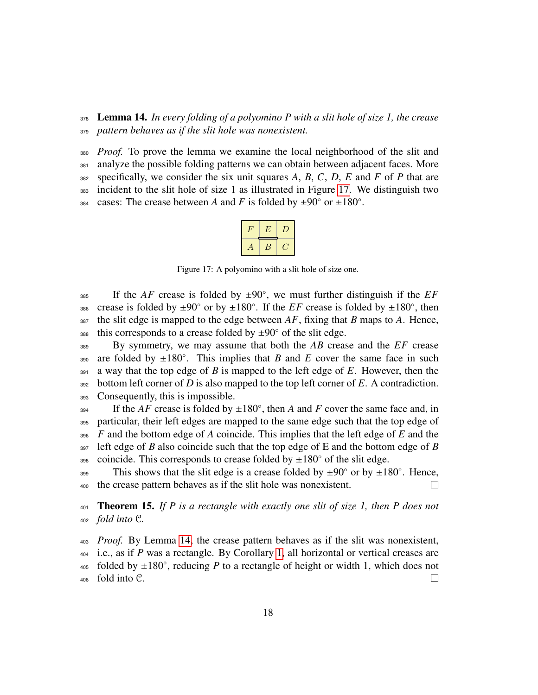<sup>378</sup> Lemma 14. *In every folding of a polyomino P with a slit hole of size 1, the crease* <sup>379</sup> *pattern behaves as if the slit hole was nonexistent.*

<span id="page-17-1"></span> *Proof.* To prove the lemma we examine the local neighborhood of the slit and analyze the possible folding patterns we can obtain between adjacent faces. More specifically, we consider the six unit squares A, B, C, D, E and F of P that are incident to the slit hole of size 1 as illustrated in Figure [17.](#page-17-1) We distinguish two cases: The crease between *A* and *F* is folded by  $\pm 90^\circ$  or  $\pm 180^\circ$ .

| H, | E | $\mathcal{L}$ |
|----|---|---------------|
| Α  | В | ٢,            |

Figure 17: A polyomino with a slit hole of size one.

If the *AF* crease is folded by  $\pm 90^\circ$ , we must further distinguish if the *EF* 386 crease is folded by  $\pm 90^\circ$  or by  $\pm 180^\circ$ . If the *EF* crease is folded by  $\pm 180^\circ$ , then  $387$  the slit edge is mapped to the edge between  $AF$ , fixing that *B* maps to *A*. Hence, 388 this corresponds to a crease folded by  $\pm 90^\circ$  of the slit edge.

<sup>389</sup> By symmetry, we may assume that both the *AB* crease and the *EF* crease aso are folded by  $\pm 180^\circ$ . This implies that *B* and *E* cover the same face in such <sup>391</sup> a way that the top edge of *B* is mapped to the left edge of *E*. However, then the 392 bottom left corner of D is also mapped to the top left corner of  $E$ . A contradiction. <sup>393</sup> Consequently, this is impossible.

If the *AF* crease is folded by  $\pm 180^\circ$ , then *A* and *F* cover the same face and, in <sup>395</sup> particular, their left edges are mapped to the same edge such that the top edge of <sup>396</sup> *F* and the bottom edge of *A* coincide. This implies that the left edge of *E* and the <sup>397</sup> left edge of *B* also coincide such that the top edge of E and the bottom edge of *B* s98 coincide. This corresponds to crease folded by  $\pm 180^\circ$  of the slit edge.

399 This shows that the slit edge is a crease folded by  $\pm 90^\circ$  or by  $\pm 180^\circ$ . Hence, <sup>400</sup> the crease pattern behaves as if the slit hole was nonexistent.  $\Box$ 

<span id="page-17-0"></span><sup>401</sup> Theorem 15. *If P is a rectangle with exactly one slit of size 1, then P does not* <sup>402</sup> *fold into* C*.*

<sup>403</sup> *Proof.* By Lemma [14,](#page-16-1) the crease pattern behaves as if the slit was nonexistent, <sup>404</sup> i.e., as if *P* was a rectangle. By Corollary [1,](#page-10-2) all horizontal or vertical creases are 405 folded by  $\pm 180^\circ$ , reducing *P* to a rectangle of height or width 1, which does not <sup>406</sup> fold into C.  $\Box$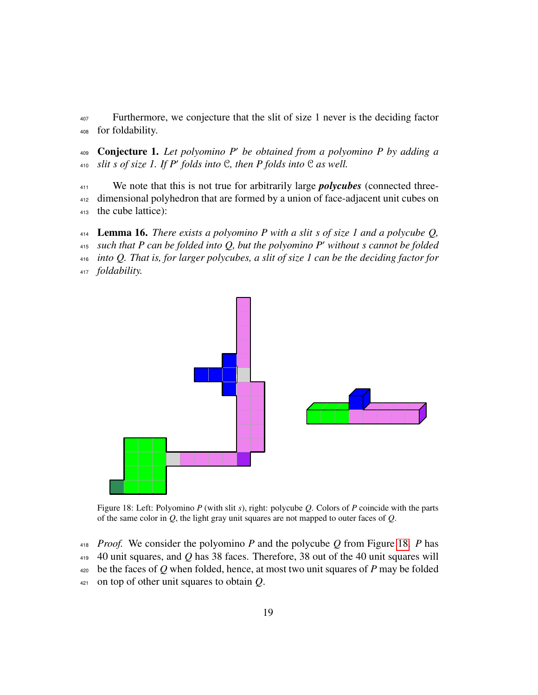Furthermore, we conjecture that the slit of size 1 never is the deciding factor for foldability.

**Conjecture 1.** Let polyomino P' be obtained from a polyomino P by adding a *slit s of size 1. If P*<sup>0</sup> *folds into* C*, then P folds into* C *as well.*

 We note that this is not true for arbitrarily large *polycubes* (connected three- dimensional polyhedron that are formed by a union of face-adjacent unit cubes on the cube lattice):

Lemma 16. *There exists a polyomino P with a slit s of size 1 and a polycube Q,*

<sup>415</sup> *such that P can be folded into Q, but the polyomino P' without s cannot be folded* 

 *into Q. That is, for larger polycubes, a slit of size 1 can be the deciding factor for foldability.*

<span id="page-18-0"></span>

Figure 18: Left: Polyomino *P* (with slit *s*), right: polycube *Q*. Colors of *P* coincide with the parts of the same color in *Q*, the light gray unit squares are not mapped to outer faces of *Q*.

 *Proof.* We consider the polyomino *P* and the polycube *Q* from Figure [18.](#page-18-0) *P* has 40 unit squares, and *Q* has 38 faces. Therefore, 38 out of the 40 unit squares will be the faces of *Q* when folded, hence, at most two unit squares of *P* may be folded on top of other unit squares to obtain *Q*.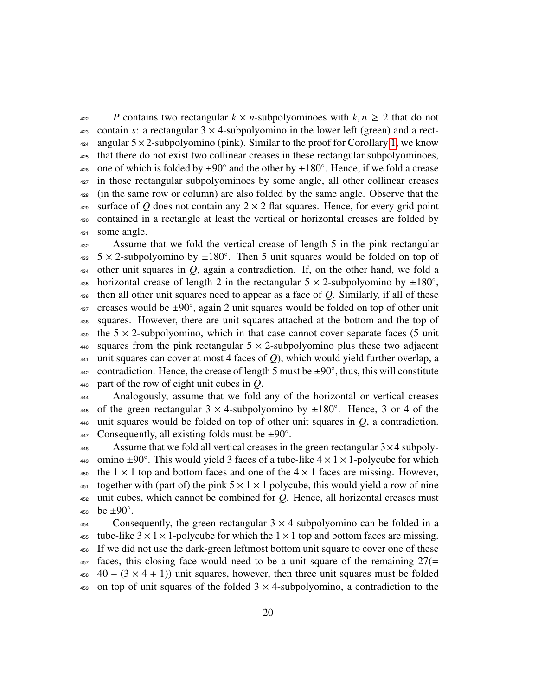*A*<sub>422</sub> *P* contains two rectangular  $k \times n$ -subpolyominoes with  $k, n \ge 2$  that do not contain *s*: a rectangular  $3 \times 4$ -subpolyomino in the lower left (green) and a rectcontain *s*: a rectangular  $3 \times 4$ -subpolyomino in the lower left (green) and a rect- $424$  angular  $5 \times 2$ -subpolyomino (pink). Similar to the proof for Corollary [1,](#page-10-2) we know <sup>425</sup> that there do not exist two collinear creases in these rectangular subpolyominoes, 426 one of which is folded by  $\pm 90^\circ$  and the other by  $\pm 180^\circ$ . Hence, if we fold a crease <sup>427</sup> in those rectangular subpolyominoes by some angle, all other collinear creases <sup>428</sup> (in the same row or column) are also folded by the same angle. Observe that the <sup>429</sup> surface of Q does not contain any  $2 \times 2$  flat squares. Hence, for every grid point <sup>430</sup> contained in a rectangle at least the vertical or horizontal creases are folded by <sup>431</sup> some angle.

<sup>432</sup> Assume that we fold the vertical crease of length 5 in the pink rectangular  $433 \quad 5 \times 2$ -subpolyomino by  $\pm 180^\circ$ . Then 5 unit squares would be folded on top of <sup>434</sup> other unit squares in *Q*, again a contradiction. If, on the other hand, we fold a 435 horizontal crease of length 2 in the rectangular  $5 \times 2$ -subpolyomino by  $\pm 180^\circ$ , <sup>436</sup> then all other unit squares need to appear as a face of *Q*. Similarly, if all of these  $437$  creases would be  $\pm 90^\circ$ , again 2 unit squares would be folded on top of other unit <sup>438</sup> squares. However, there are unit squares attached at the bottom and the top of 439 the  $5 \times 2$ -subpolyomino, which in that case cannot cover separate faces (5 unit 440 squares from the pink rectangular  $5 \times 2$ -subpolyomino plus these two adjacent  $_{441}$  unit squares can cover at most 4 faces of *Q*), which would yield further overlap, a  $442$  contradiction. Hence, the crease of length 5 must be  $\pm 90^\circ$ , thus, this will constitute <sup>443</sup> part of the row of eight unit cubes in *Q*.

<sup>444</sup> Analogously, assume that we fold any of the horizontal or vertical creases 445 of the green rectangular  $3 \times 4$ -subpolyomino by  $\pm 180^\circ$ . Hence, 3 or 4 of the 446 unit squares would be folded on top of other unit squares in  $Q$ , a contradiction. 447 Consequently, all existing folds must be  $\pm 90^\circ$ .

Assume that we fold all vertical creases in the green rectangular  $3\times4$  subpoly-449 omino  $\pm 90^\circ$ . This would yield 3 faces of a tube-like  $4 \times 1 \times 1$ -polycube for which 450 the  $1 \times 1$  top and bottom faces and one of the  $4 \times 1$  faces are missing. However,  $451$  together with (part of) the pink  $5 \times 1 \times 1$  polycube, this would yield a row of nine <sup>452</sup> unit cubes, which cannot be combined for *Q*. Hence, all horizontal creases must 453 be  $\pm 90^\circ$ .

454 Consequently, the green rectangular  $3 \times 4$ -subpolyomino can be folded in a 455 tube-like  $3 \times 1 \times 1$ -polycube for which the  $1 \times 1$  top and bottom faces are missing. <sup>456</sup> If we did not use the dark-green leftmost bottom unit square to cover one of these  $457$  faces, this closing face would need to be a unit square of the remaining  $27(=$  $468 \quad 40 - (3 \times 4 + 1)$ ) unit squares, however, then three unit squares must be folded 459 on top of unit squares of the folded  $3 \times 4$ -subpolyomino, a contradiction to the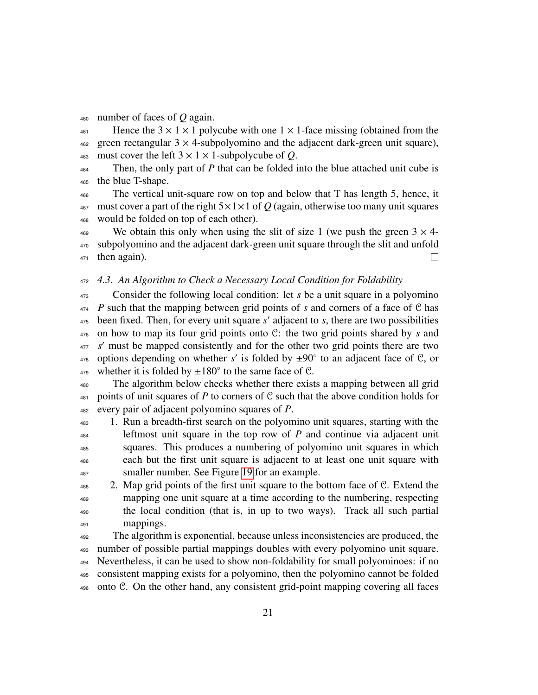number of faces of *Q* again.

461 Hence the  $3 \times 1 \times 1$  polycube with one  $1 \times 1$ -face missing (obtained from the 462 green rectangular  $3 \times 4$ -subpolyomino and the adjacent dark-green unit square), 463 must cover the left  $3 \times 1 \times 1$ -subpolycube of *Q*.

 Then, the only part of *P* that can be folded into the blue attached unit cube is the blue T-shape.

 The vertical unit-square row on top and below that T has length 5, hence, it must cover a part of the right  $5\times1\times1$  of Q (again, otherwise too many unit squares would be folded on top of each other).

469 We obtain this only when using the slit of size 1 (we push the green  $3 \times 4$ - subpolyomino and the adjacent dark-green unit square through the slit and unfold then again).  $\Box$ 

## <span id="page-20-0"></span>*4.3. An Algorithm to Check a Necessary Local Condition for Foldability*

 Consider the following local condition: let *s* be a unit square in a polyomino *P* such that the mapping between grid points of *s* and corners of a face of C has 475 been fixed. Then, for every unit square *s'* adjacent to *s*, there are two possibilities on how to map its four grid points onto C: the two grid points shared by *s* and 477 s' must be mapped consistently and for the other two grid points there are two 478 options depending on whether *s'* is folded by  $\pm 90^\circ$  to an adjacent face of C, or 479 whether it is folded by  $\pm 180^\circ$  to the same face of C.

 The algorithm below checks whether there exists a mapping between all grid points of unit squares of P to corners of C such that the above condition holds for every pair of adjacent polyomino squares of *P*.

 1. Run a breadth-first search on the polyomino unit squares, starting with the leftmost unit square in the top row of *P* and continue via adjacent unit squares. This produces a numbering of polyomino unit squares in which each but the first unit square is adjacent to at least one unit square with smaller number. See Figure [19](#page-21-1) for an example.

 2. Map grid points of the first unit square to the bottom face of C. Extend the mapping one unit square at a time according to the numbering, respecting the local condition (that is, in up to two ways). Track all such partial mappings.

 The algorithm is exponential, because unless inconsistencies are produced, the number of possible partial mappings doubles with every polyomino unit square. Nevertheless, it can be used to show non-foldability for small polyominoes: if no consistent mapping exists for a polyomino, then the polyomino cannot be folded onto C. On the other hand, any consistent grid-point mapping covering all faces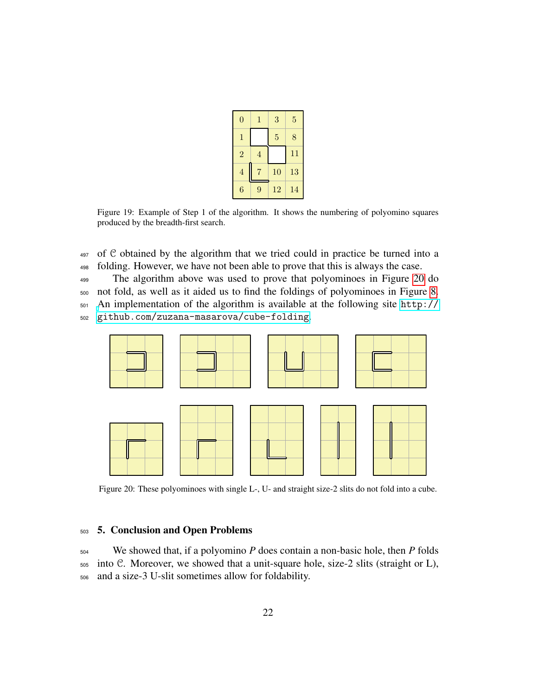| 0              | 1 | 3  | 5  |
|----------------|---|----|----|
| 1              |   | 5  | 8  |
| $\overline{2}$ | 4 |    | 11 |
| 4              |   | 10 | 13 |
| 6              | 9 | 12 | 14 |

<span id="page-21-1"></span>Figure 19: Example of Step 1 of the algorithm. It shows the numbering of polyomino squares produced by the breadth-first search.

 of C obtained by the algorithm that we tried could in practice be turned into a folding. However, we have not been able to prove that this is always the case.

 The algorithm above was used to prove that polyominoes in Figure [20](#page-21-2) do not fold, as well as it aided us to find the foldings of polyominoes in Figure [8.](#page-8-0) [A](http://github.com/zuzana-masarova/cube-folding)n implementation of the algorithm is available at the following site [http://](http://github.com/zuzana-masarova/cube-folding) [github.com/zuzana-masarova/cube-folding](http://github.com/zuzana-masarova/cube-folding).

<span id="page-21-2"></span>

Figure 20: These polyominoes with single L-, U- and straight size-2 slits do not fold into a cube.

## <span id="page-21-0"></span>5. Conclusion and Open Problems

 We showed that, if a polyomino *P* does contain a non-basic hole, then *P* folds into C. Moreover, we showed that a unit-square hole, size-2 slits (straight or L), and a size-3 U-slit sometimes allow for foldability.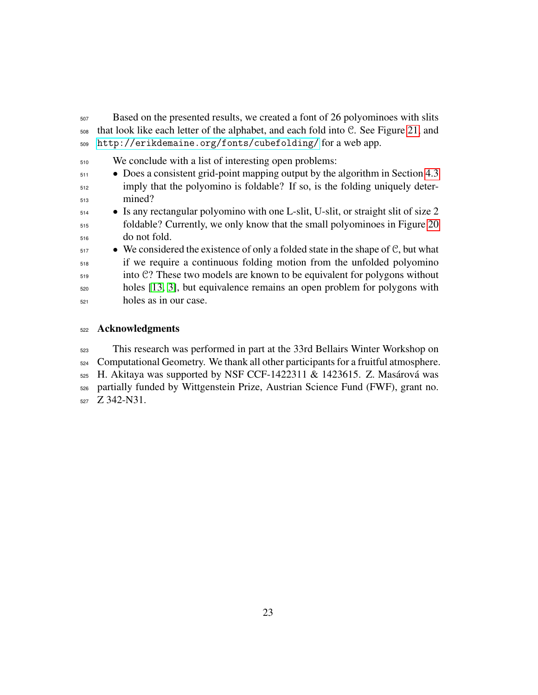Based on the presented results, we created a font of 26 polyominoes with slits that look like each letter of the alphabet, and each fold into C. See Figure [21,](#page-23-0) and <http://erikdemaine.org/fonts/cubefolding/> for a web app.

We conclude with a list of interesting open problems:

- 511 Does a consistent grid-point mapping output by the algorithm in Section [4.3](#page-20-0)  $\frac{1}{512}$  imply that the polyomino is foldable? If so, is the folding uniquely deter-mined?
- Is any rectangular polyomino with one L-slit, U-slit, or straight slit of size 2 foldable? Currently, we only know that the small polyominoes in Figure [20](#page-21-2) do not fold.
- We considered the existence of only a folded state in the shape of C, but what if we require a continuous folding motion from the unfolded polyomino into C? These two models are known to be equivalent for polygons without holes [\[13,](#page-25-3) [3\]](#page-24-0), but equivalence remains an open problem for polygons with holes as in our case.

# Acknowledgments

 This research was performed in part at the 33rd Bellairs Winter Workshop on Computational Geometry. We thank all other participants for a fruitful atmosphere. H. Akitaya was supported by NSF CCF-1422311 & 1423615. Z. Masárová was partially funded by Wittgenstein Prize, Austrian Science Fund (FWF), grant no. Z 342-N31.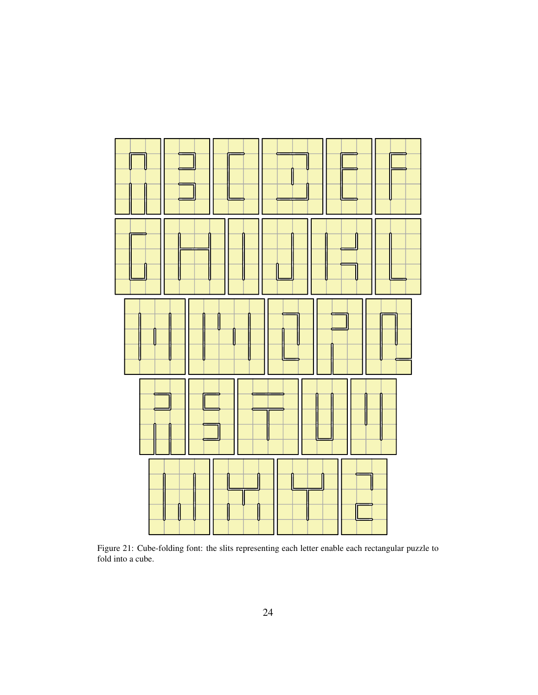<span id="page-23-0"></span>

Figure 21: Cube-folding font: the slits representing each letter enable each rectangular puzzle to fold into a cube.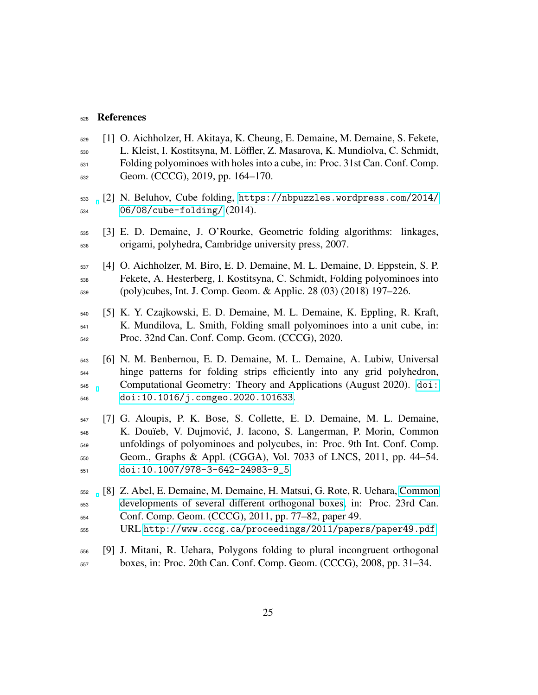#### References

- <span id="page-24-1"></span> [1] O. Aichholzer, H. Akitaya, K. Cheung, E. Demaine, M. Demaine, S. Fekete, L. Kleist, I. Kostitsyna, M. Lo¨ffler, Z. Masarova, K. Mundiolva, C. Schmidt,  $_{531}$  Folding polyominoes with holes into a cube, in: Proc. 31st Can. Conf. Comp. Geom. (CCCG), 2019, pp. 164–170.
- <span id="page-24-2"></span> [2] N. Beluhov, Cube folding, [https://nbpuzzles.wordpress.com/2014/](https://nbpuzzles.wordpress.com/2014/06/08/cube-folding/) [06/08/cube-folding/](https://nbpuzzles.wordpress.com/2014/06/08/cube-folding/) (2014).
- <span id="page-24-0"></span> [3] E. D. Demaine, J. O'Rourke, Geometric folding algorithms: linkages, origami, polyhedra, Cambridge university press, 2007.
- <span id="page-24-3"></span> [4] O. Aichholzer, M. Biro, E. D. Demaine, M. L. Demaine, D. Eppstein, S. P. Fekete, A. Hesterberg, I. Kostitsyna, C. Schmidt, Folding polyominoes into (poly)cubes, Int. J. Comp. Geom. & Applic. 28 (03) (2018) 197–226.
- <span id="page-24-4"></span> [5] K. Y. Czajkowski, E. D. Demaine, M. L. Demaine, K. Eppling, R. Kraft, K. Mundilova, L. Smith, Folding small polyominoes into a unit cube, in: Proc. 32nd Can. Conf. Comp. Geom. (CCCG), 2020.
- <span id="page-24-5"></span> [6] N. M. Benbernou, E. D. Demaine, M. L. Demaine, A. Lubiw, Universal hinge patterns for folding strips efficiently into any grid polyhedron, Computational Geometry: Theory and Applications (August 2020). [doi:](https://doi.org/doi:10.1016/j.comgeo.2020.101633) [doi:10.1016/j.comgeo.2020.101633](https://doi.org/doi:10.1016/j.comgeo.2020.101633).
- <span id="page-24-6"></span> [7] G. Aloupis, P. K. Bose, S. Collette, E. D. Demaine, M. L. Demaine, K. Dou¨ıeb, V. Dujmovic, J. Iacono, S. Langerman, P. Morin, Common ´ unfoldings of polyominoes and polycubes, in: Proc. 9th Int. Conf. Comp. Geom., Graphs & Appl. (CGGA), Vol. 7033 of LNCS, 2011, pp. 44–54. [doi:10.1007/978-3-642-24983-9\\_5](https://doi.org/10.1007/978-3-642-24983-9_5).
- <span id="page-24-7"></span> [8] Z. Abel, E. Demaine, M. Demaine, H. Matsui, G. Rote, R. Uehara, [Common](http://www.cccg.ca/proceedings/2011/papers/paper49.pdf) [developments of several di](http://www.cccg.ca/proceedings/2011/papers/paper49.pdf)fferent orthogonal boxes, in: Proc. 23rd Can. Conf. Comp. Geom. (CCCG), 2011, pp. 77–82, paper 49.
- URL <http://www.cccg.ca/proceedings/2011/papers/paper49.pdf>
- <span id="page-24-8"></span> [9] J. Mitani, R. Uehara, Polygons folding to plural incongruent orthogonal boxes, in: Proc. 20th Can. Conf. Comp. Geom. (CCCG), 2008, pp. 31–34.